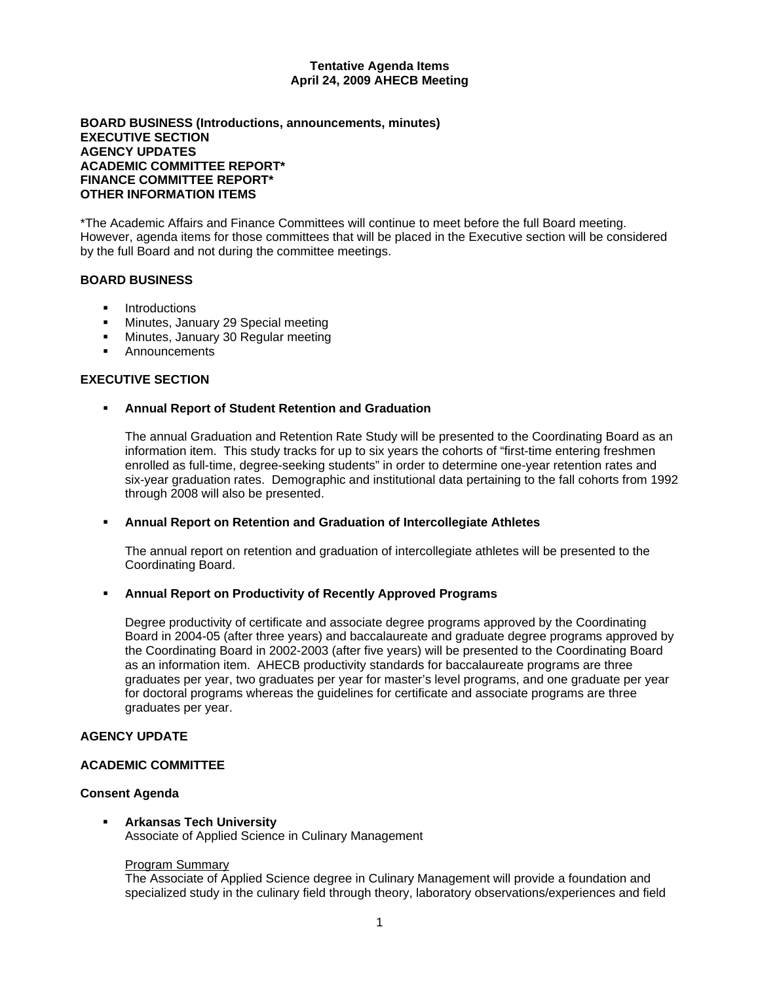#### **Tentative Agenda Items April 24, 2009 AHECB Meeting**

### **BOARD BUSINESS (Introductions, announcements, minutes) EXECUTIVE SECTION AGENCY UPDATES ACADEMIC COMMITTEE REPORT\* FINANCE COMMITTEE REPORT\* OTHER INFORMATION ITEMS**

\*The Academic Affairs and Finance Committees will continue to meet before the full Board meeting. However, agenda items for those committees that will be placed in the Executive section will be considered by the full Board and not during the committee meetings.

### **BOARD BUSINESS**

- **Introductions**
- **Minutes, January 29 Special meeting**
- **Minutes, January 30 Regular meeting**
- **E** Announcements

# **EXECUTIVE SECTION**

### **Annual Report of Student Retention and Graduation**

 The annual Graduation and Retention Rate Study will be presented to the Coordinating Board as an information item. This study tracks for up to six years the cohorts of "first-time entering freshmen enrolled as full-time, degree-seeking students" in order to determine one-year retention rates and six-year graduation rates. Demographic and institutional data pertaining to the fall cohorts from 1992 through 2008 will also be presented.

### **Annual Report on Retention and Graduation of Intercollegiate Athletes**

The annual report on retention and graduation of intercollegiate athletes will be presented to the Coordinating Board.

### **Annual Report on Productivity of Recently Approved Programs**

Degree productivity of certificate and associate degree programs approved by the Coordinating Board in 2004-05 (after three years) and baccalaureate and graduate degree programs approved by the Coordinating Board in 2002-2003 (after five years) will be presented to the Coordinating Board as an information item. AHECB productivity standards for baccalaureate programs are three graduates per year, two graduates per year for master's level programs, and one graduate per year for doctoral programs whereas the guidelines for certificate and associate programs are three graduates per year.

### **AGENCY UPDATE**

### **ACADEMIC COMMITTEE**

### **Consent Agenda**

#### **Arkansas Tech University**

Associate of Applied Science in Culinary Management

#### Program Summary

The Associate of Applied Science degree in Culinary Management will provide a foundation and specialized study in the culinary field through theory, laboratory observations/experiences and field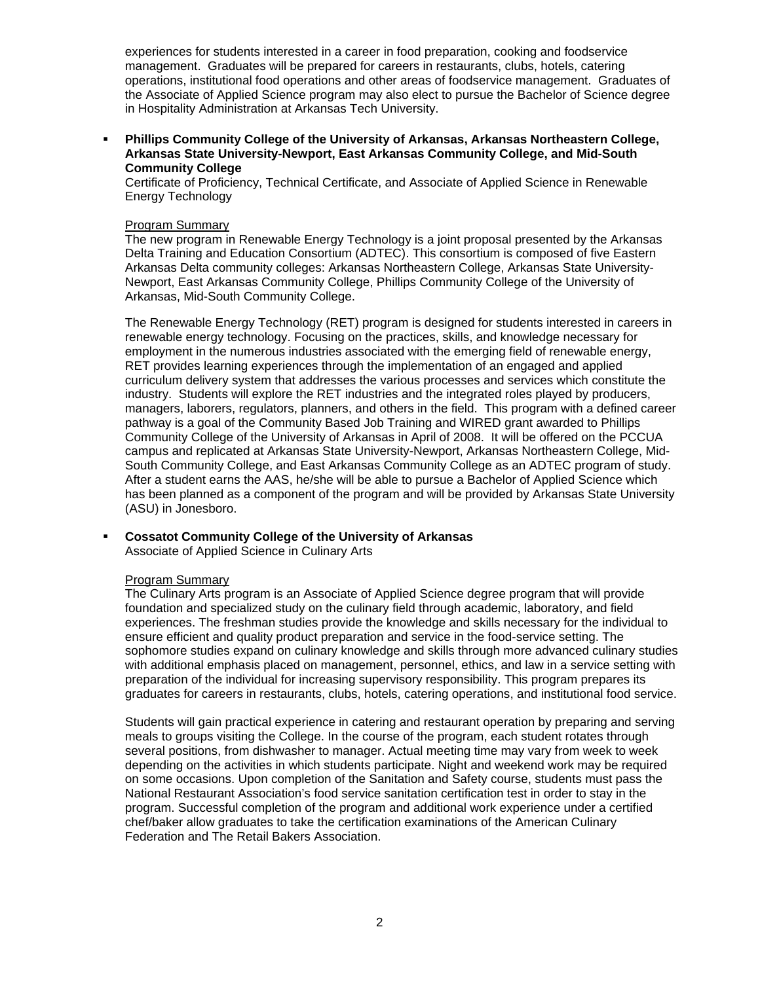experiences for students interested in a career in food preparation, cooking and foodservice management. Graduates will be prepared for careers in restaurants, clubs, hotels, catering operations, institutional food operations and other areas of foodservice management. Graduates of the Associate of Applied Science program may also elect to pursue the Bachelor of Science degree in Hospitality Administration at Arkansas Tech University.

 **Phillips Community College of the University of Arkansas, Arkansas Northeastern College, Arkansas State University-Newport, East Arkansas Community College, and Mid-South Community College** 

Certificate of Proficiency, Technical Certificate, and Associate of Applied Science in Renewable Energy Technology

### Program Summary

The new program in Renewable Energy Technology is a joint proposal presented by the Arkansas Delta Training and Education Consortium (ADTEC). This consortium is composed of five Eastern Arkansas Delta community colleges: Arkansas Northeastern College, Arkansas State University-Newport, East Arkansas Community College, Phillips Community College of the University of Arkansas, Mid-South Community College.

The Renewable Energy Technology (RET) program is designed for students interested in careers in renewable energy technology. Focusing on the practices, skills, and knowledge necessary for employment in the numerous industries associated with the emerging field of renewable energy, RET provides learning experiences through the implementation of an engaged and applied curriculum delivery system that addresses the various processes and services which constitute the industry. Students will explore the RET industries and the integrated roles played by producers, managers, laborers, regulators, planners, and others in the field. This program with a defined career pathway is a goal of the Community Based Job Training and WIRED grant awarded to Phillips Community College of the University of Arkansas in April of 2008. It will be offered on the PCCUA campus and replicated at Arkansas State University-Newport, Arkansas Northeastern College, Mid-South Community College, and East Arkansas Community College as an ADTEC program of study. After a student earns the AAS, he/she will be able to pursue a Bachelor of Applied Science which has been planned as a component of the program and will be provided by Arkansas State University (ASU) in Jonesboro.

# **Cossatot Community College of the University of Arkansas**

Associate of Applied Science in Culinary Arts

### Program Summary

The Culinary Arts program is an Associate of Applied Science degree program that will provide foundation and specialized study on the culinary field through academic, laboratory, and field experiences. The freshman studies provide the knowledge and skills necessary for the individual to ensure efficient and quality product preparation and service in the food-service setting. The sophomore studies expand on culinary knowledge and skills through more advanced culinary studies with additional emphasis placed on management, personnel, ethics, and law in a service setting with preparation of the individual for increasing supervisory responsibility. This program prepares its graduates for careers in restaurants, clubs, hotels, catering operations, and institutional food service.

Students will gain practical experience in catering and restaurant operation by preparing and serving meals to groups visiting the College. In the course of the program, each student rotates through several positions, from dishwasher to manager. Actual meeting time may vary from week to week depending on the activities in which students participate. Night and weekend work may be required on some occasions. Upon completion of the Sanitation and Safety course, students must pass the National Restaurant Association's food service sanitation certification test in order to stay in the program. Successful completion of the program and additional work experience under a certified chef/baker allow graduates to take the certification examinations of the American Culinary Federation and The Retail Bakers Association.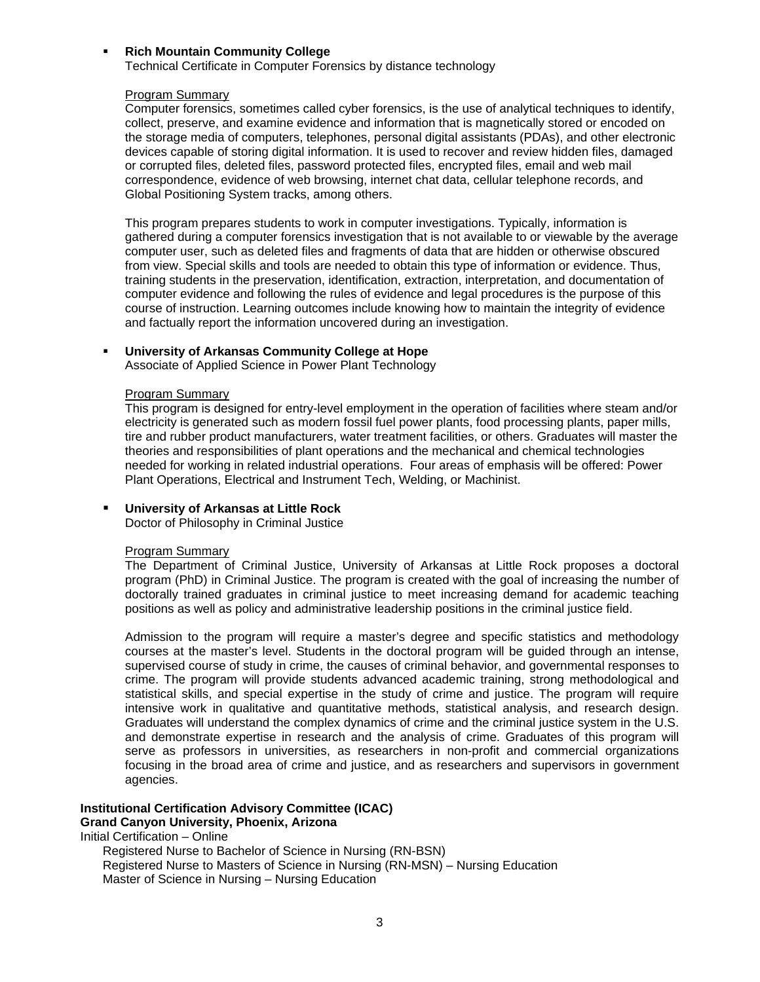### **Rich Mountain Community College**

Technical Certificate in Computer Forensics by distance technology

#### Program Summary

Computer forensics, sometimes called cyber forensics, is the use of analytical techniques to identify, collect, preserve, and examine evidence and information that is magnetically stored or encoded on the storage media of computers, telephones, personal digital assistants (PDAs), and other electronic devices capable of storing digital information. It is used to recover and review hidden files, damaged or corrupted files, deleted files, password protected files, encrypted files, email and web mail correspondence, evidence of web browsing, internet chat data, cellular telephone records, and Global Positioning System tracks, among others.

This program prepares students to work in computer investigations. Typically, information is gathered during a computer forensics investigation that is not available to or viewable by the average computer user, such as deleted files and fragments of data that are hidden or otherwise obscured from view. Special skills and tools are needed to obtain this type of information or evidence. Thus, training students in the preservation, identification, extraction, interpretation, and documentation of computer evidence and following the rules of evidence and legal procedures is the purpose of this course of instruction. Learning outcomes include knowing how to maintain the integrity of evidence and factually report the information uncovered during an investigation.

#### **University of Arkansas Community College at Hope**

Associate of Applied Science in Power Plant Technology

#### Program Summary

This program is designed for entry-level employment in the operation of facilities where steam and/or electricity is generated such as modern fossil fuel power plants, food processing plants, paper mills, tire and rubber product manufacturers, water treatment facilities, or others. Graduates will master the theories and responsibilities of plant operations and the mechanical and chemical technologies needed for working in related industrial operations. Four areas of emphasis will be offered: Power Plant Operations, Electrical and Instrument Tech, Welding, or Machinist.

### **University of Arkansas at Little Rock**

Doctor of Philosophy in Criminal Justice

#### Program Summary

The Department of Criminal Justice, University of Arkansas at Little Rock proposes a doctoral program (PhD) in Criminal Justice. The program is created with the goal of increasing the number of doctorally trained graduates in criminal justice to meet increasing demand for academic teaching positions as well as policy and administrative leadership positions in the criminal justice field.

Admission to the program will require a master's degree and specific statistics and methodology courses at the master's level. Students in the doctoral program will be guided through an intense, supervised course of study in crime, the causes of criminal behavior, and governmental responses to crime. The program will provide students advanced academic training, strong methodological and statistical skills, and special expertise in the study of crime and justice. The program will require intensive work in qualitative and quantitative methods, statistical analysis, and research design. Graduates will understand the complex dynamics of crime and the criminal justice system in the U.S. and demonstrate expertise in research and the analysis of crime. Graduates of this program will serve as professors in universities, as researchers in non-profit and commercial organizations focusing in the broad area of crime and justice, and as researchers and supervisors in government agencies.

### **Institutional Certification Advisory Committee (ICAC)**

### **Grand Canyon University, Phoenix, Arizona**

Initial Certification – Online

Registered Nurse to Bachelor of Science in Nursing (RN-BSN) Registered Nurse to Masters of Science in Nursing (RN-MSN) – Nursing Education Master of Science in Nursing – Nursing Education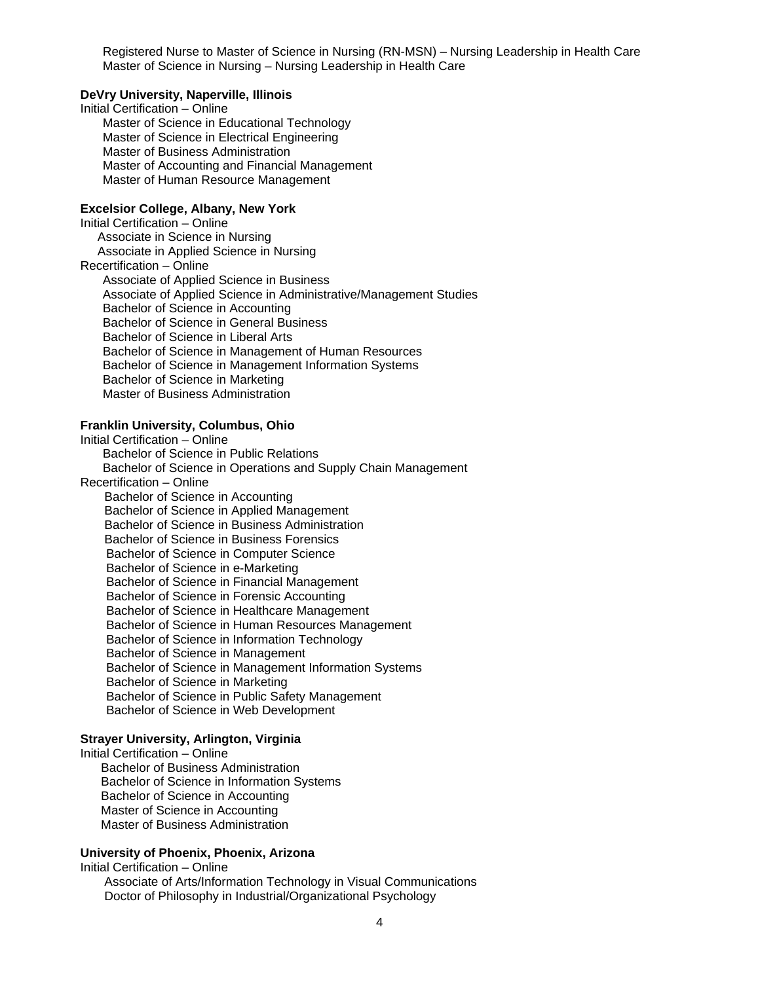Registered Nurse to Master of Science in Nursing (RN-MSN) – Nursing Leadership in Health Care Master of Science in Nursing – Nursing Leadership in Health Care

#### **DeVry University, Naperville, Illinois**

Initial Certification – Online Master of Science in Educational Technology Master of Science in Electrical Engineering Master of Business Administration Master of Accounting and Financial Management Master of Human Resource Management

#### **Excelsior College, Albany, New York**

Initial Certification – Online Associate in Science in Nursing Associate in Applied Science in Nursing Recertification – Online Associate of Applied Science in Business Associate of Applied Science in Administrative/Management Studies Bachelor of Science in Accounting Bachelor of Science in General Business Bachelor of Science in Liberal Arts Bachelor of Science in Management of Human Resources Bachelor of Science in Management Information Systems Bachelor of Science in Marketing Master of Business Administration

# **Franklin University, Columbus, Ohio**

Initial Certification – Online Bachelor of Science in Public Relations Bachelor of Science in Operations and Supply Chain Management Recertification – Online Bachelor of Science in Accounting Bachelor of Science in Applied Management Bachelor of Science in Business Administration Bachelor of Science in Business Forensics Bachelor of Science in Computer Science Bachelor of Science in e-Marketing Bachelor of Science in Financial Management Bachelor of Science in Forensic Accounting Bachelor of Science in Healthcare Management Bachelor of Science in Human Resources Management Bachelor of Science in Information Technology Bachelor of Science in Management Bachelor of Science in Management Information Systems Bachelor of Science in Marketing Bachelor of Science in Public Safety Management Bachelor of Science in Web Development

### **Strayer University, Arlington, Virginia**

Initial Certification – Online Bachelor of Business Administration Bachelor of Science in Information Systems Bachelor of Science in Accounting Master of Science in Accounting Master of Business Administration

# **University of Phoenix, Phoenix, Arizona**

Initial Certification – Online Associate of Arts/Information Technology in Visual Communications Doctor of Philosophy in Industrial/Organizational Psychology